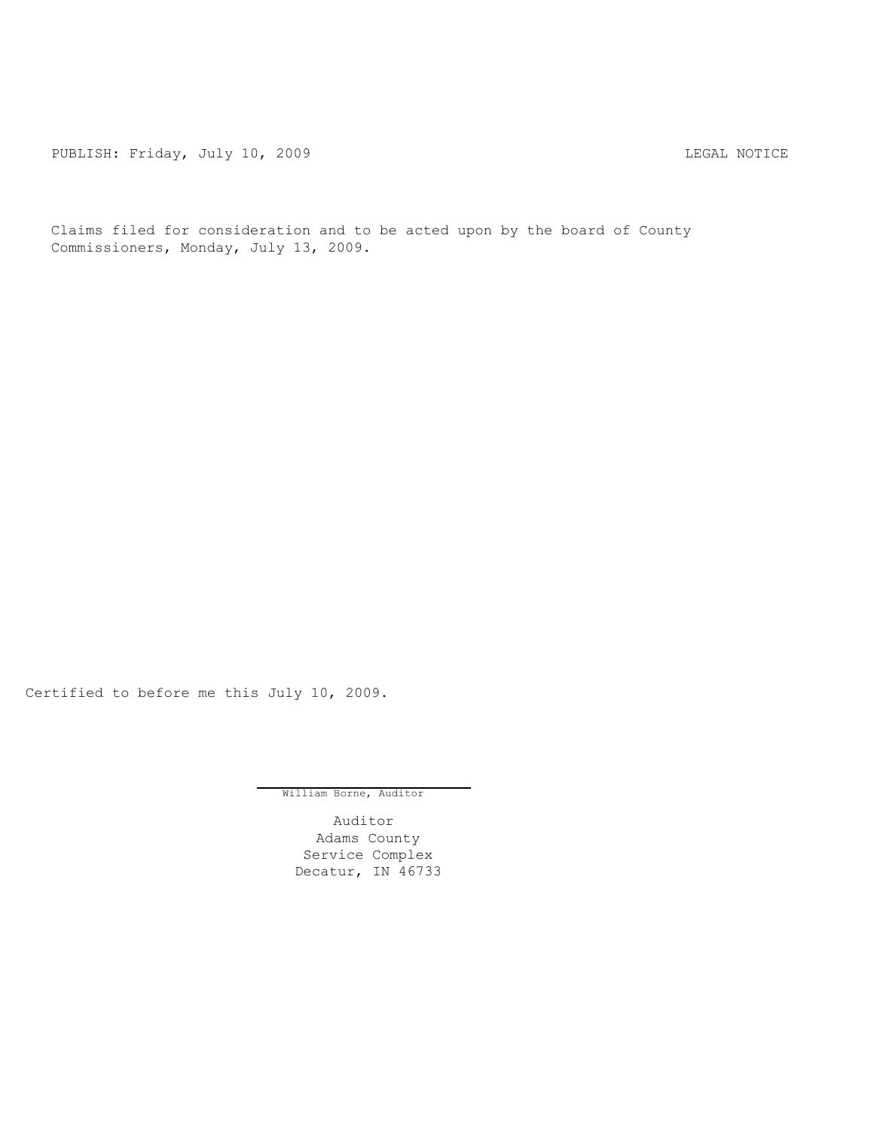PUBLISH: Friday, July 10, 2009 <br>
LEGAL NOTICE

Claims filed for consideration and to be acted upon by the board of County Commissioners, Monday, July 13, 2009.

Certified to before me this July 10, 2009.

William Borne, Auditor

Auditor Adams County Service Complex Decatur, IN 46733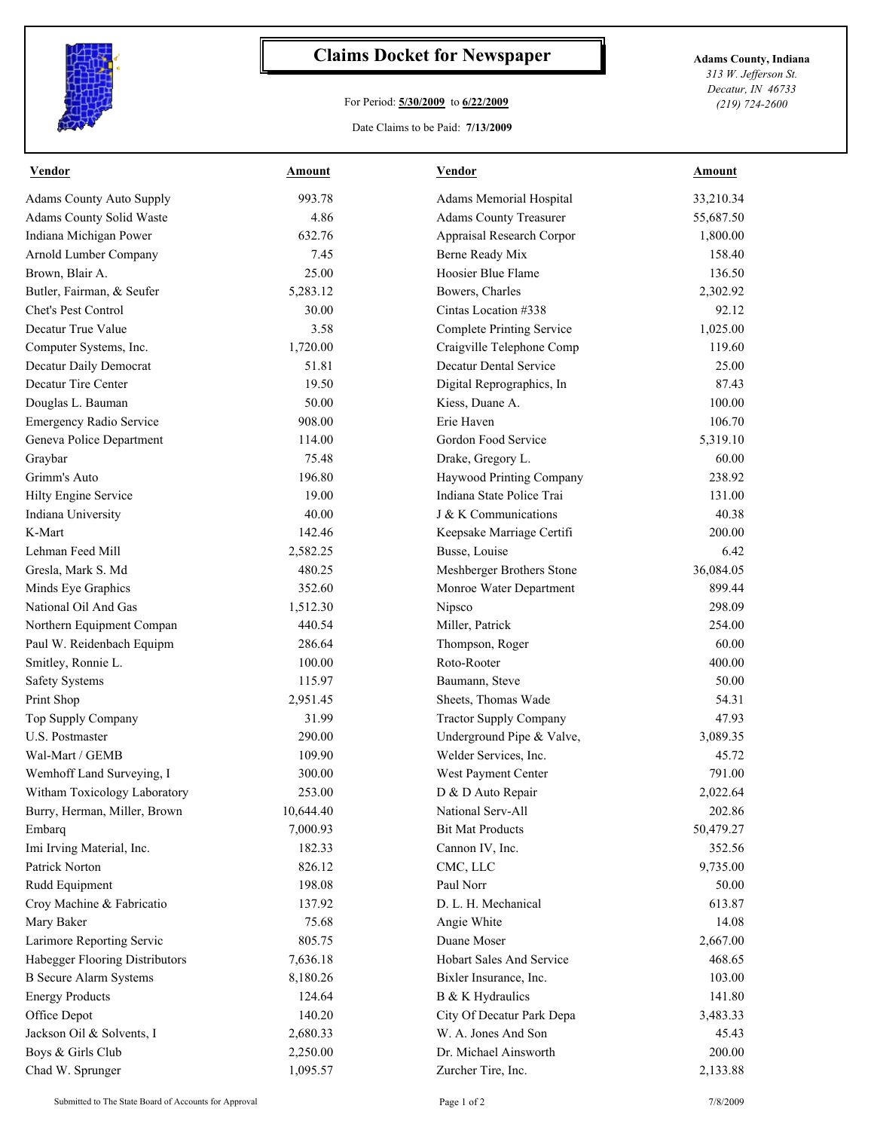

## **Claims Docket for Newspaper Adams County, Indiana**

## For Period: **5/30/2009** to **6/22/2009**

*313 W. Jefferson St. Decatur, IN 46733 (219) 724-2600*

Date Claims to be Paid: **7/13/2009**

| <b>Vendor</b>                   | Amount    | <b>Vendor</b>                   | <b>Amount</b> |
|---------------------------------|-----------|---------------------------------|---------------|
| <b>Adams County Auto Supply</b> | 993.78    | Adams Memorial Hospital         | 33,210.34     |
| Adams County Solid Waste        | 4.86      | <b>Adams County Treasurer</b>   | 55,687.50     |
| Indiana Michigan Power          | 632.76    | Appraisal Research Corpor       | 1,800.00      |
| Arnold Lumber Company           | 7.45      | Berne Ready Mix                 | 158.40        |
| Brown, Blair A.                 | 25.00     | Hoosier Blue Flame              | 136.50        |
| Butler, Fairman, & Seufer       | 5,283.12  | Bowers, Charles                 | 2,302.92      |
| Chet's Pest Control             | 30.00     | Cintas Location #338            | 92.12         |
| Decatur True Value              | 3.58      | Complete Printing Service       | 1,025.00      |
| Computer Systems, Inc.          | 1,720.00  | Craigville Telephone Comp       | 119.60        |
| Decatur Daily Democrat          | 51.81     | <b>Decatur Dental Service</b>   | 25.00         |
| Decatur Tire Center             | 19.50     | Digital Reprographics, In       | 87.43         |
| Douglas L. Bauman               | 50.00     | Kiess, Duane A.                 | 100.00        |
| Emergency Radio Service         | 908.00    | Erie Haven                      | 106.70        |
| Geneva Police Department        | 114.00    | Gordon Food Service             | 5,319.10      |
| Graybar                         | 75.48     | Drake, Gregory L.               | 60.00         |
| Grimm's Auto                    | 196.80    | Haywood Printing Company        | 238.92        |
| Hilty Engine Service            | 19.00     | Indiana State Police Trai       | 131.00        |
| Indiana University              | 40.00     | J & K Communications            | 40.38         |
| K-Mart                          | 142.46    | Keepsake Marriage Certifi       | 200.00        |
| Lehman Feed Mill                | 2,582.25  | Busse, Louise                   | 6.42          |
| Gresla, Mark S. Md              | 480.25    | Meshberger Brothers Stone       | 36,084.05     |
| Minds Eye Graphics              | 352.60    | Monroe Water Department         | 899.44        |
| National Oil And Gas            | 1,512.30  | Nipsco                          | 298.09        |
| Northern Equipment Compan       | 440.54    | Miller, Patrick                 | 254.00        |
| Paul W. Reidenbach Equipm       | 286.64    | Thompson, Roger                 | 60.00         |
| Smitley, Ronnie L.              | 100.00    | Roto-Rooter                     | 400.00        |
| <b>Safety Systems</b>           | 115.97    | Baumann, Steve                  | 50.00         |
| Print Shop                      | 2,951.45  | Sheets, Thomas Wade             | 54.31         |
| Top Supply Company              | 31.99     | <b>Tractor Supply Company</b>   | 47.93         |
| <b>U.S. Postmaster</b>          | 290.00    | Underground Pipe & Valve,       | 3,089.35      |
| Wal-Mart / GEMB                 | 109.90    | Welder Services, Inc.           | 45.72         |
| Wemhoff Land Surveying, I       | 300.00    | West Payment Center             | 791.00        |
| Witham Toxicology Laboratory    | 253.00    | D & D Auto Repair               | 2,022.64      |
| Burry, Herman, Miller, Brown    | 10,644.40 | National Serv-All               | 202.86        |
| Embarq                          | 7,000.93  | <b>Bit Mat Products</b>         | 50,479.27     |
| Imi Irving Material, Inc.       | 182.33    | Cannon IV, Inc.                 | 352.56        |
| Patrick Norton                  | 826.12    | CMC, LLC                        | 9,735.00      |
| Rudd Equipment                  | 198.08    | Paul Norr                       | 50.00         |
| Croy Machine & Fabricatio       | 137.92    | D. L. H. Mechanical             | 613.87        |
| Mary Baker                      | 75.68     | Angie White                     | 14.08         |
| Larimore Reporting Servic       | 805.75    | Duane Moser                     | 2,667.00      |
| Habegger Flooring Distributors  | 7,636.18  | <b>Hobart Sales And Service</b> | 468.65        |
| <b>B</b> Secure Alarm Systems   | 8,180.26  | Bixler Insurance, Inc.          | 103.00        |
| <b>Energy Products</b>          | 124.64    | B & K Hydraulics                | 141.80        |
| Office Depot                    | 140.20    | City Of Decatur Park Depa       | 3,483.33      |
| Jackson Oil & Solvents, I       | 2,680.33  | W. A. Jones And Son             | 45.43         |
| Boys & Girls Club               | 2,250.00  | Dr. Michael Ainsworth           | 200.00        |
| Chad W. Sprunger                | 1,095.57  | Zurcher Tire, Inc.              | 2,133.88      |
|                                 |           |                                 |               |